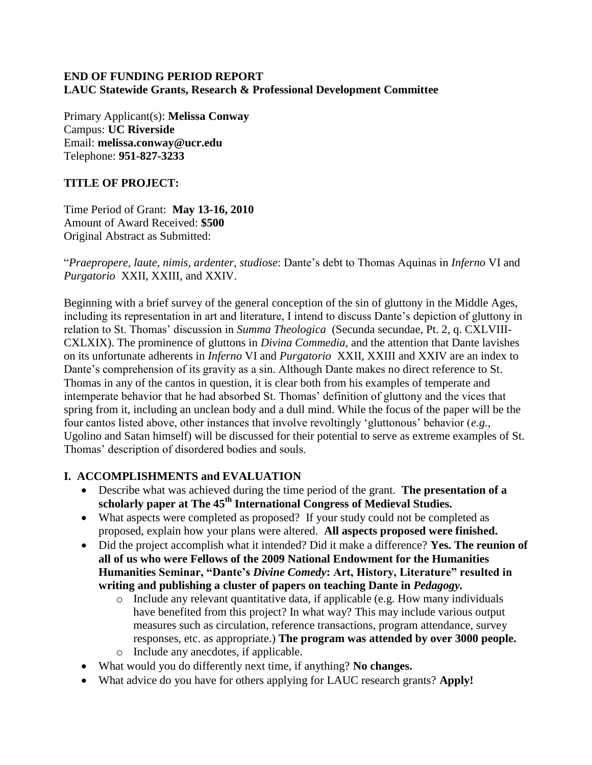## **END OF FUNDING PERIOD REPORT LAUC Statewide Grants, Research & Professional Development Committee**

Primary Applicant(s): **Melissa Conway** Campus: **UC Riverside** Email: **melissa.conway@ucr.edu** Telephone: **951-827-3233**

# **TITLE OF PROJECT:**

Time Period of Grant: **May 13-16, 2010** Amount of Award Received: **\$500** Original Abstract as Submitted:

"*Praepropere, laute, nimis, ardenter, studiose*: Dante's debt to Thomas Aquinas in *Inferno* VI and *Purgatorio* XXII, XXIII, and XXIV.

Beginning with a brief survey of the general conception of the sin of gluttony in the Middle Ages, including its representation in art and literature, I intend to discuss Dante's depiction of gluttony in relation to St. Thomas' discussion in *Summa Theologica* (Secunda secundae, Pt. 2, q. CXLVIII-CXLXIX). The prominence of gluttons in *Divina Commedia,* and the attention that Dante lavishes on its unfortunate adherents in *Inferno* VI and *Purgatorio* XXII, XXIII and XXIV are an index to Dante's comprehension of its gravity as a sin. Although Dante makes no direct reference to St. Thomas in any of the cantos in question, it is clear both from his examples of temperate and intemperate behavior that he had absorbed St. Thomas' definition of gluttony and the vices that spring from it, including an unclean body and a dull mind. While the focus of the paper will be the four cantos listed above, other instances that involve revoltingly 'gluttonous' behavior (*e.g.,* Ugolino and Satan himself) will be discussed for their potential to serve as extreme examples of St. Thomas' description of disordered bodies and souls.

## **I. ACCOMPLISHMENTS and EVALUATION**

- Describe what was achieved during the time period of the grant. **The presentation of a scholarly paper at The 45th International Congress of Medieval Studies.**
- What aspects were completed as proposed? If your study could not be completed as proposed, explain how your plans were altered. **All aspects proposed were finished.**
- Did the project accomplish what it intended? Did it make a difference? **Yes. The reunion of all of us who were Fellows of the 2009 National Endowment for the Humanities Humanities Seminar, "Dante's** *Divine Comedy***: Art, History, Literature" resulted in writing and publishing a cluster of papers on teaching Dante in** *Pedagogy.*
	- o Include any relevant quantitative data, if applicable (e.g. How many individuals have benefited from this project? In what way? This may include various output measures such as circulation, reference transactions, program attendance, survey responses, etc. as appropriate.) **The program was attended by over 3000 people.** o Include any anecdotes, if applicable.
- What would you do differently next time, if anything? **No changes.**
- What advice do you have for others applying for LAUC research grants? **Apply!**